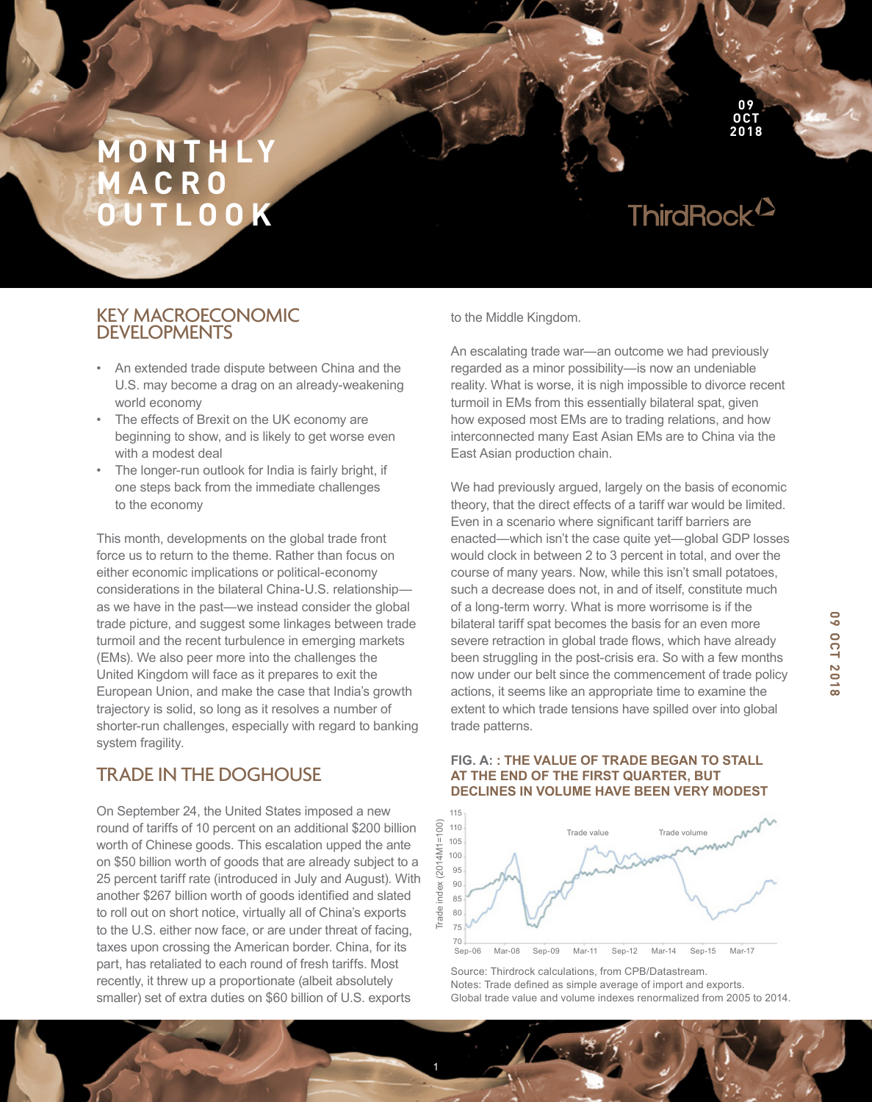# **M O N T H L Y M A C R O OUTLOOK**

# ThirdRock<sup>12</sup>

**09 OCT 2018**

## KEY MACROECONOMIC DEVELOPMENTS

- An extended trade dispute between China and the U.S. may become a drag on an already-weakening world economy
- The effects of Brexit on the UK economy are beginning to show, and is likely to get worse even with a modest deal
- The longer-run outlook for India is fairly bright, if one steps back from the immediate challenges to the economy

This month, developments on the global trade front force us to return to the theme. Rather than focus on either economic implications or political-economy considerations in the bilateral China-U.S. relationship as we have in the past—we instead consider the global trade picture, and suggest some linkages between trade turmoil and the recent turbulence in emerging markets (EMs). We also peer more into the challenges the United Kingdom will face as it prepares to exit the European Union, and make the case that India's growth trajectory is solid, so long as it resolves a number of shorter-run challenges, especially with regard to banking system fragility.

# TRADE IN THE DOGHOUSE

On September 24, the United States imposed a new round of tariffs of 10 percent on an additional \$200 billion worth of Chinese goods. This escalation upped the ante on \$50 billion worth of goods that are already subject to a 25 percent tariff rate (introduced in July and August). With another \$267 billion worth of goods identified and slated to roll out on short notice, virtually all of China's exports to the U.S. either now face, or are under threat of facing, taxes upon crossing the American border. China, for its part, has retaliated to each round of fresh tariffs. Most recently, it threw up a proportionate (albeit absolutely smaller) set of extra duties on \$60 billion of U.S. exports

to the Middle Kingdom.

An escalating trade war—an outcome we had previously regarded as a minor possibility—is now an undeniable reality. What is worse, it is nigh impossible to divorce recent turmoil in EMs from this essentially bilateral spat, given how exposed most EMs are to trading relations, and how interconnected many East Asian EMs are to China via the East Asian production chain.

We had previously argued, largely on the basis of economic theory, that the direct effects of a tariff war would be limited. Even in a scenario where significant tariff barriers are enacted—which isn't the case quite yet—global GDP losses would clock in between 2 to 3 percent in total, and over the course of many years. Now, while this isn't small potatoes, such a decrease does not, in and of itself, constitute much of a long-term worry. What is more worrisome is if the bilateral tariff spat becomes the basis for an even more severe retraction in global trade flows, which have already been struggling in the post-crisis era. So with a few months now under our belt since the commencement of trade policy actions, it seems like an appropriate time to examine the extent to which trade tensions have spilled over into global trade patterns.

## **FIG. A: : THE VALUE OF TRADE BEGAN TO STALL AT THE END OF THE FIRST QUARTER, BUT DECLINES IN VOLUME HAVE BEEN VERY MODEST**



Source: Thirdrock calculations, from CPB/Datastream. Notes: Trade defined as simple average of import and exports. Global trade value and volume indexes renormalized from 2005 to 2014.

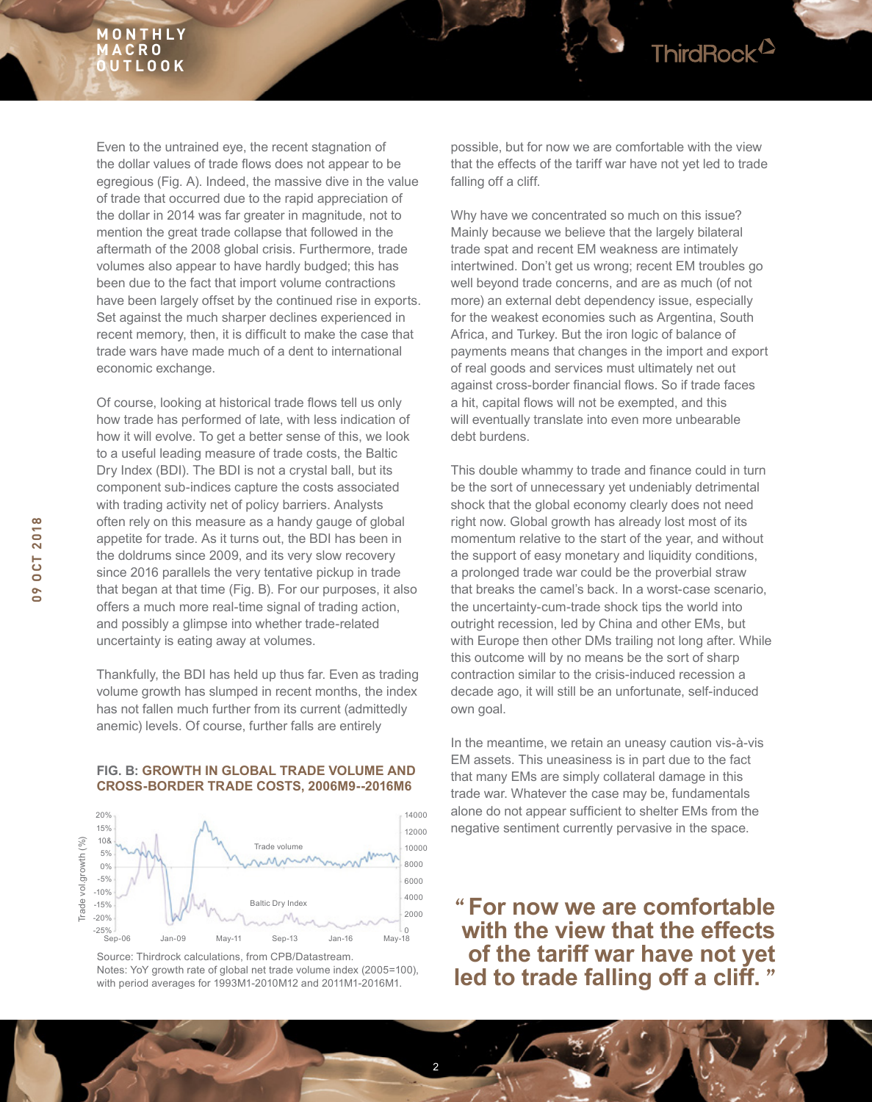## **M O N T H L Y M A C R O OUTLOOK**

Even to the untrained eye, the recent stagnation of the dollar values of trade flows does not appear to be egregious (Fig. A). Indeed, the massive dive in the value of trade that occurred due to the rapid appreciation of the dollar in 2014 was far greater in magnitude, not to mention the great trade collapse that followed in the aftermath of the 2008 global crisis. Furthermore, trade volumes also appear to have hardly budged; this has been due to the fact that import volume contractions have been largely offset by the continued rise in exports. Set against the much sharper declines experienced in recent memory, then, it is difficult to make the case that trade wars have made much of a dent to international economic exchange.

Of course, looking at historical trade flows tell us only how trade has performed of late, with less indication of how it will evolve. To get a better sense of this, we look to a useful leading measure of trade costs, the Baltic Dry Index (BDI). The BDI is not a crystal ball, but its component sub-indices capture the costs associated with trading activity net of policy barriers. Analysts often rely on this measure as a handy gauge of global appetite for trade. As it turns out, the BDI has been in the doldrums since 2009, and its very slow recovery since 2016 parallels the very tentative pickup in trade that began at that time (Fig. B). For our purposes, it also offers a much more real-time signal of trading action, and possibly a glimpse into whether trade-related uncertainty is eating away at volumes.

Thankfully, the BDI has held up thus far. Even as trading volume growth has slumped in recent months, the index has not fallen much further from its current (admittedly anemic) levels. Of course, further falls are entirely

**FIG. B: GROWTH IN GLOBAL TRADE VOLUME AND CROSS-BORDER TRADE COSTS, 2006M9--2016M6**



Source: Thirdrock calculations, from CPB/Datastream. Notes: YoY growth rate of global net trade volume index (2005=100), with period averages for 1993M1-2010M12 and 2011M1-2016M1.

2

possible, but for now we are comfortable with the view that the effects of the tariff war have not yet led to trade falling off a cliff.

ThirdRock<sup>12</sup>

Why have we concentrated so much on this issue? Mainly because we believe that the largely bilateral trade spat and recent EM weakness are intimately intertwined. Don't get us wrong; recent EM troubles go well beyond trade concerns, and are as much (of not more) an external debt dependency issue, especially for the weakest economies such as Argentina, South Africa, and Turkey. But the iron logic of balance of payments means that changes in the import and export of real goods and services must ultimately net out against cross-border financial flows. So if trade faces a hit, capital flows will not be exempted, and this will eventually translate into even more unbearable debt burdens.

This double whammy to trade and finance could in turn be the sort of unnecessary yet undeniably detrimental shock that the global economy clearly does not need right now. Global growth has already lost most of its momentum relative to the start of the year, and without the support of easy monetary and liquidity conditions, a prolonged trade war could be the proverbial straw that breaks the camel's back. In a worst-case scenario, the uncertainty-cum-trade shock tips the world into outright recession, led by China and other EMs, but with Europe then other DMs trailing not long after. While this outcome will by no means be the sort of sharp contraction similar to the crisis-induced recession a decade ago, it will still be an unfortunate, self-induced own goal.

In the meantime, we retain an uneasy caution vis-à-vis EM assets. This uneasiness is in part due to the fact that many EMs are simply collateral damage in this trade war. Whatever the case may be, fundamentals alone do not appear sufficient to shelter EMs from the negative sentiment currently pervasive in the space.

Baltic Dry Index **1998 1999 <b>1999 6 4000 6 4000 6 4000 6 4000 6 6000 <b>6 6000 1999 6000 1999 6000 1999 6000 1999 6000 1999 6000 1999 6000 1999 6000 1999 6000 1999 6000 1999 6000 1999 6000 1 with the view that the effects of the tariff war have not yet led to trade falling off a cliff. "**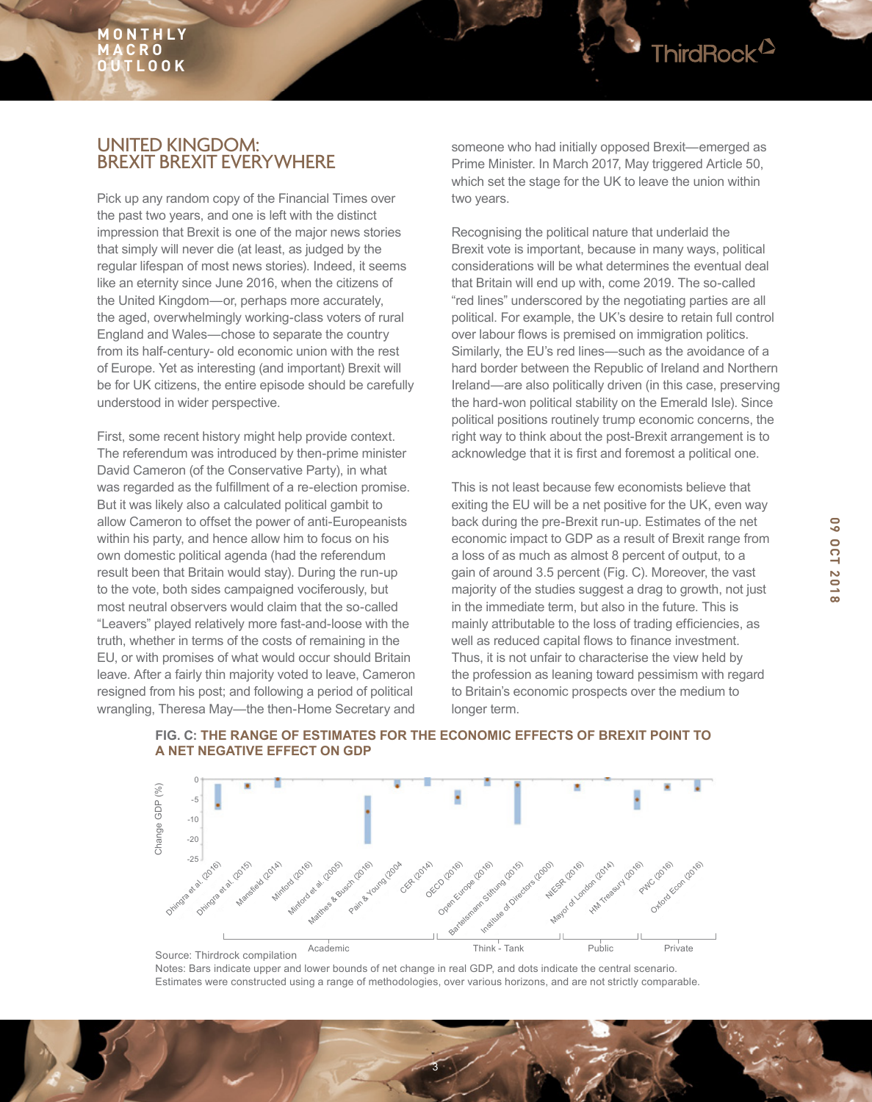## UNITED KINGDOM: BREXIT BREXIT EVERYWHERE

Pick up any random copy of the Financial Times over the past two years, and one is left with the distinct impression that Brexit is one of the major news stories that simply will never die (at least, as judged by the regular lifespan of most news stories). Indeed, it seems like an eternity since June 2016, when the citizens of the United Kingdom—or, perhaps more accurately, the aged, overwhelmingly working-class voters of rural England and Wales—chose to separate the country from its half-century- old economic union with the rest of Europe. Yet as interesting (and important) Brexit will be for UK citizens, the entire episode should be carefully understood in wider perspective.

First, some recent history might help provide context. The referendum was introduced by then-prime minister David Cameron (of the Conservative Party), in what was regarded as the fulfillment of a re-election promise. But it was likely also a calculated political gambit to allow Cameron to offset the power of anti-Europeanists within his party, and hence allow him to focus on his own domestic political agenda (had the referendum result been that Britain would stay). During the run-up to the vote, both sides campaigned vociferously, but most neutral observers would claim that the so-called "Leavers" played relatively more fast-and-loose with the truth, whether in terms of the costs of remaining in the EU, or with promises of what would occur should Britain leave. After a fairly thin majority voted to leave, Cameron resigned from his post; and following a period of political wrangling, Theresa May—the then-Home Secretary and

someone who had initially opposed Brexit—emerged as Prime Minister. In March 2017, May triggered Article 50, which set the stage for the UK to leave the union within two years.

Recognising the political nature that underlaid the Brexit vote is important, because in many ways, political considerations will be what determines the eventual deal that Britain will end up with, come 2019. The so-called "red lines" underscored by the negotiating parties are all political. For example, the UK's desire to retain full control over labour flows is premised on immigration politics. Similarly, the EU's red lines—such as the avoidance of a hard border between the Republic of Ireland and Northern Ireland—are also politically driven (in this case, preserving the hard-won political stability on the Emerald Isle). Since political positions routinely trump economic concerns, the right way to think about the post-Brexit arrangement is to acknowledge that it is first and foremost a political one.

This is not least because few economists believe that exiting the EU will be a net positive for the UK, even way back during the pre-Brexit run-up. Estimates of the net economic impact to GDP as a result of Brexit range from a loss of as much as almost 8 percent of output, to a gain of around 3.5 percent (Fig. C). Moreover, the vast majority of the studies suggest a drag to growth, not just in the immediate term, but also in the future. This is mainly attributable to the loss of trading efficiencies, as well as reduced capital flows to finance investment. Thus, it is not unfair to characterise the view held by the profession as leaning toward pessimism with regard to Britain's economic prospects over the medium to longer term.





Notes: Bars indicate upper and lower bounds of net change in real GDP, and dots indicate the central scenario. Estimates were constructed using a range of methodologies, over various horizons, and are not strictly comparable.

3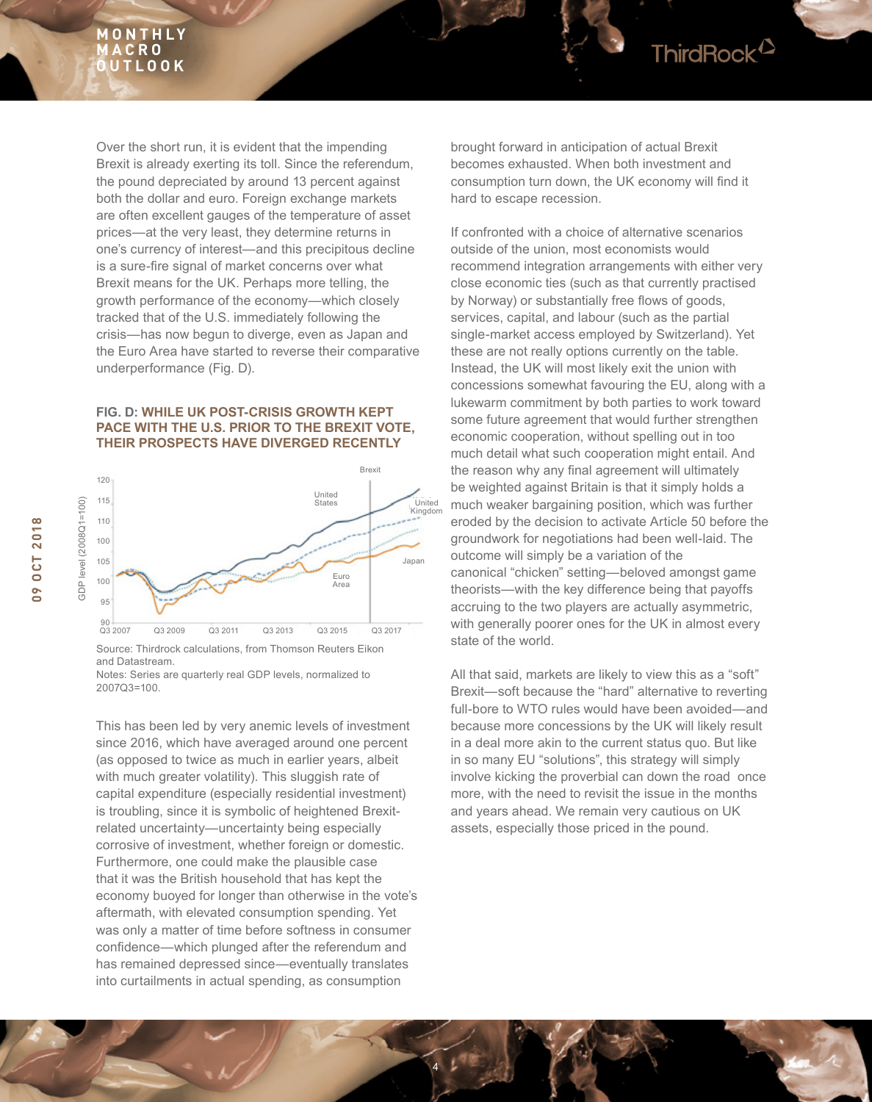

Over the short run, it is evident that the impending Brexit is already exerting its toll. Since the referendum, the pound depreciated by around 13 percent against both the dollar and euro. Foreign exchange markets are often excellent gauges of the temperature of asset prices—at the very least, they determine returns in one's currency of interest—and this precipitous decline is a sure-fire signal of market concerns over what Brexit means for the UK. Perhaps more telling, the growth performance of the economy—which closely tracked that of the U.S. immediately following the crisis—has now begun to diverge, even as Japan and the Euro Area have started to reverse their comparative underperformance (Fig. D).

## **FIG. D: WHILE UK POST-CRISIS GROWTH KEPT PACE WITH THE U.S. PRIOR TO THE BREXIT VOTE, THEIR PROSPECTS HAVE DIVERGED RECENTLY**



Source: Thirdrock calculations, from Thomson Reuters Eikon and Datastream. Notes: Series are quarterly real GDP levels, normalized to

2007Q3=100.

This has been led by very anemic levels of investment since 2016, which have averaged around one percent (as opposed to twice as much in earlier years, albeit with much greater volatility). This sluggish rate of capital expenditure (especially residential investment) is troubling, since it is symbolic of heightened Brexitrelated uncertainty—uncertainty being especially corrosive of investment, whether foreign or domestic. Furthermore, one could make the plausible case that it was the British household that has kept the economy buoyed for longer than otherwise in the vote's aftermath, with elevated consumption spending. Yet was only a matter of time before softness in consumer confidence—which plunged after the referendum and has remained depressed since—eventually translates into curtailments in actual spending, as consumption

brought forward in anticipation of actual Brexit becomes exhausted. When both investment and consumption turn down, the UK economy will find it hard to escape recession.

If confronted with a choice of alternative scenarios outside of the union, most economists would recommend integration arrangements with either very close economic ties (such as that currently practised by Norway) or substantially free flows of goods, services, capital, and labour (such as the partial single-market access employed by Switzerland). Yet these are not really options currently on the table. Instead, the UK will most likely exit the union with concessions somewhat favouring the EU, along with a lukewarm commitment by both parties to work toward some future agreement that would further strengthen economic cooperation, without spelling out in too much detail what such cooperation might entail. And the reason why any final agreement will ultimately be weighted against Britain is that it simply holds a much weaker bargaining position, which was further eroded by the decision to activate Article 50 before the groundwork for negotiations had been well-laid. The outcome will simply be a variation of the canonical "chicken" setting—beloved amongst game theorists—with the key difference being that payoffs accruing to the two players are actually asymmetric, with generally poorer ones for the UK in almost every state of the world.

All that said, markets are likely to view this as a "soft" Brexit—soft because the "hard" alternative to reverting full-bore to WTO rules would have been avoided—and because more concessions by the UK will likely result in a deal more akin to the current status quo. But like in so many EU "solutions", this strategy will simply involve kicking the proverbial can down the road once more, with the need to revisit the issue in the months and years ahead. We remain very cautious on UK assets, especially those priced in the pound.



GDP level (2008Q1=100)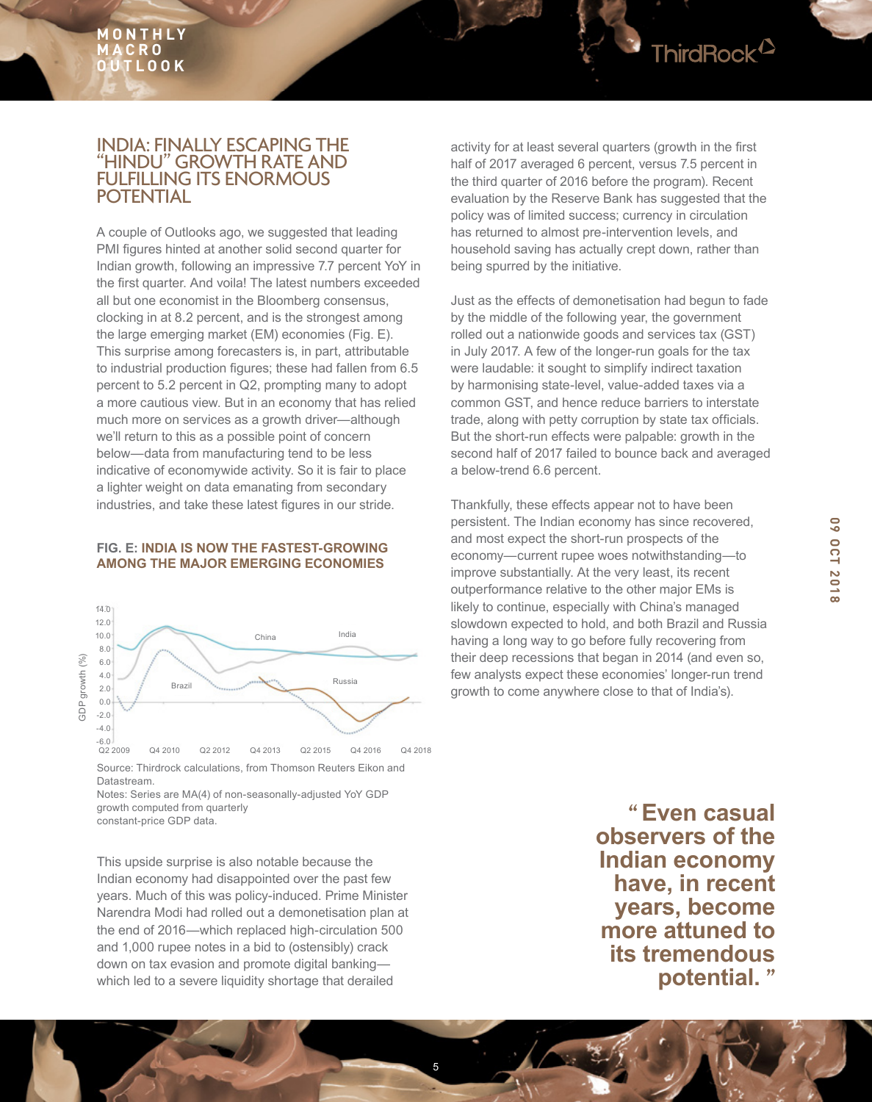

## INDIA: FINALLY ESCAPING THE "HINDU" GROWTH RATE AND FULFILLING ITS ENORMOUS **POTENTIAL**

A couple of Outlooks ago, we suggested that leading PMI figures hinted at another solid second quarter for Indian growth, following an impressive 7.7 percent YoY in the first quarter. And voila! The latest numbers exceeded all but one economist in the Bloomberg consensus, clocking in at 8.2 percent, and is the strongest among the large emerging market (EM) economies (Fig. E). This surprise among forecasters is, in part, attributable to industrial production figures; these had fallen from 6.5 percent to 5.2 percent in Q2, prompting many to adopt a more cautious view. But in an economy that has relied much more on services as a growth driver—although we'll return to this as a possible point of concern below—data from manufacturing tend to be less indicative of economywide activity. So it is fair to place a lighter weight on data emanating from secondary industries, and take these latest figures in our stride.

## **FIG. E: INDIA IS NOW THE FASTEST-GROWING AMONG THE MAJOR EMERGING ECONOMIES**



Source: Thirdrock calculations, from Thomson Reuters Eikon and Datastream.

Notes: Series are MA(4) of non-seasonally-adjusted YoY GDP growth computed from quarterly<br>constant-price GDP data.

This upside surprise is also notable because the Indian economy had disappointed over the past few years. Much of this was policy-induced. Prime Minister Narendra Modi had rolled out a demonetisation plan at the end of 2016—which replaced high-circulation 500 and 1,000 rupee notes in a bid to (ostensibly) crack down on tax evasion and promote digital banking which led to a severe liquidity shortage that derailed

activity for at least several quarters (growth in the first half of 2017 averaged 6 percent, versus 7.5 percent in the third quarter of 2016 before the program). Recent evaluation by the Reserve Bank has suggested that the policy was of limited success; currency in circulation has returned to almost pre-intervention levels, and household saving has actually crept down, rather than being spurred by the initiative.

Just as the effects of demonetisation had begun to fade by the middle of the following year, the government rolled out a nationwide goods and services tax (GST) in July 2017. A few of the longer-run goals for the tax were laudable: it sought to simplify indirect taxation by harmonising state-level, value-added taxes via a common GST, and hence reduce barriers to interstate trade, along with petty corruption by state tax officials. But the short-run effects were palpable: growth in the second half of 2017 failed to bounce back and averaged a below-trend 6.6 percent.

Thankfully, these effects appear not to have been persistent. The Indian economy has since recovered, and most expect the short-run prospects of the economy—current rupee woes notwithstanding—to improve substantially. At the very least, its recent outperformance relative to the other major EMs is likely to continue, especially with China's managed slowdown expected to hold, and both Brazil and Russia having a long way to go before fully recovering from their deep recessions that began in 2014 (and even so, few analysts expect these economies' longer-run trend growth to come anywhere close to that of India's).

> constant-price GDP data. **" Even casual observers of the Indian economy have, in recent years, become more attuned to its tremendous potential. "**

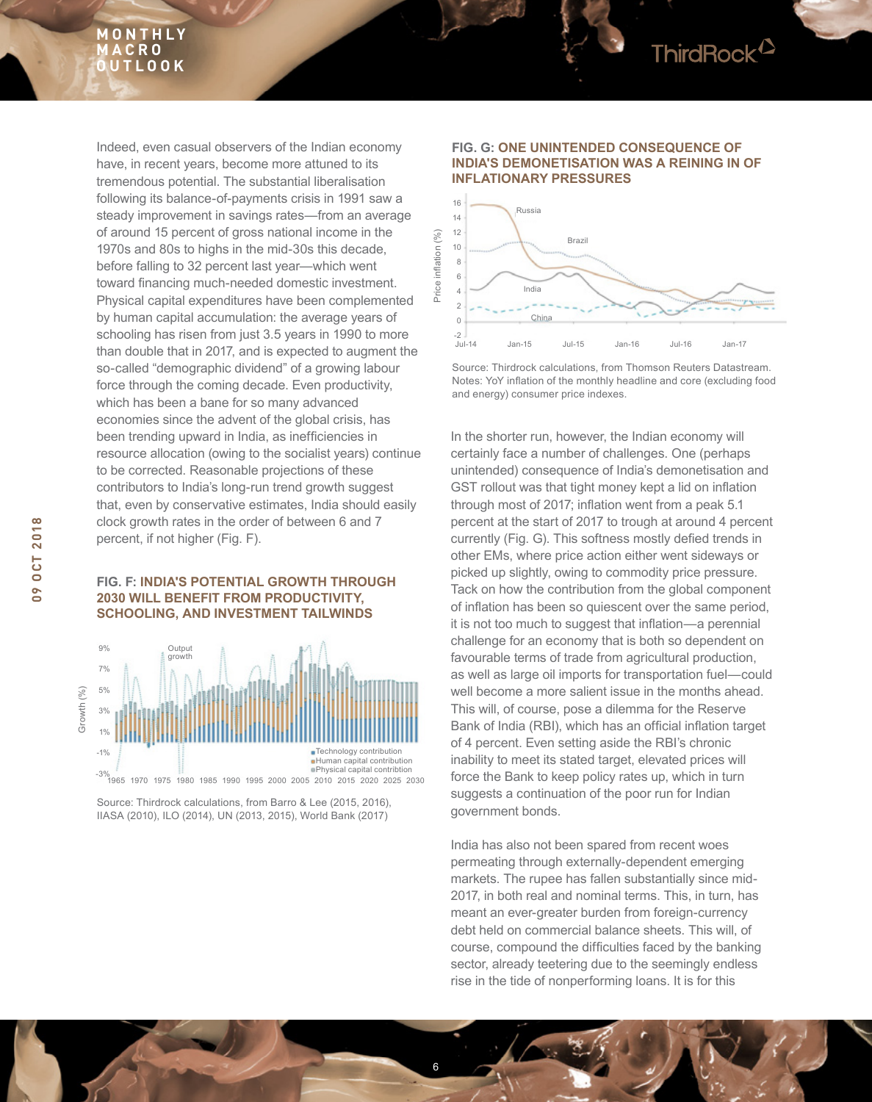## **M O N T H L Y M A C R O OUTLOOK**

ThirdRock<sup>2</sup>

Indeed, even casual observers of the Indian economy have, in recent years, become more attuned to its tremendous potential. The substantial liberalisation following its balance-of-payments crisis in 1991 saw a steady improvement in savings rates—from an average of around 15 percent of gross national income in the 1970s and 80s to highs in the mid-30s this decade, before falling to 32 percent last year—which went toward financing much-needed domestic investment. Physical capital expenditures have been complemented by human capital accumulation: the average years of schooling has risen from just 3.5 years in 1990 to more than double that in 2017, and is expected to augment the so-called "demographic dividend" of a growing labour force through the coming decade. Even productivity, which has been a bane for so many advanced economies since the advent of the global crisis, has been trending upward in India, as inefficiencies in resource allocation (owing to the socialist years) continue to be corrected. Reasonable projections of these contributors to India's long-run trend growth suggest that, even by conservative estimates, India should easily clock growth rates in the order of between 6 and 7 percent, if not higher (Fig. F).

## **FIG. F: INDIA'S POTENTIAL GROWTH THROUGH 2030 WILL BENEFIT FROM PRODUCTIVITY, SCHOOLING, AND INVESTMENT TAILWINDS**



Source: Thirdrock calculations, from Barro & Lee (2015, 2016), IIASA (2010), ILO (2014), UN (2013, 2015), World Bank (2017)



## **FIG. G: ONE UNINTENDED CONSEQUENCE OF INDIA'S DEMONETISATION WAS A REINING IN OF INFLATIONARY PRESSURES**

Source: Thirdrock calculations, from Thomson Reuters Datastream. Notes: YoY inflation of the monthly headline and core (excluding food and energy) consumer price indexes.

In the shorter run, however, the Indian economy will certainly face a number of challenges. One (perhaps unintended) consequence of India's demonetisation and GST rollout was that tight money kept a lid on inflation through most of 2017; inflation went from a peak 5.1 percent at the start of 2017 to trough at around 4 percent currently (Fig. G). This softness mostly defied trends in other EMs, where price action either went sideways or picked up slightly, owing to commodity price pressure. Tack on how the contribution from the global component of inflation has been so quiescent over the same period, it is not too much to suggest that inflation—a perennial challenge for an economy that is both so dependent on favourable terms of trade from agricultural production, as well as large oil imports for transportation fuel—could well become a more salient issue in the months ahead. This will, of course, pose a dilemma for the Reserve Bank of India (RBI), which has an official inflation target of 4 percent. Even setting aside the RBI's chronic inability to meet its stated target, elevated prices will force the Bank to keep policy rates up, which in turn suggests a continuation of the poor run for Indian government bonds.

India has also not been spared from recent woes permeating through externally-dependent emerging markets. The rupee has fallen substantially since mid-2017, in both real and nominal terms. This, in turn, has meant an ever-greater burden from foreign-currency debt held on commercial balance sheets. This will, of course, compound the difficulties faced by the banking sector, already teetering due to the seemingly endless rise in the tide of nonperforming loans. It is for this

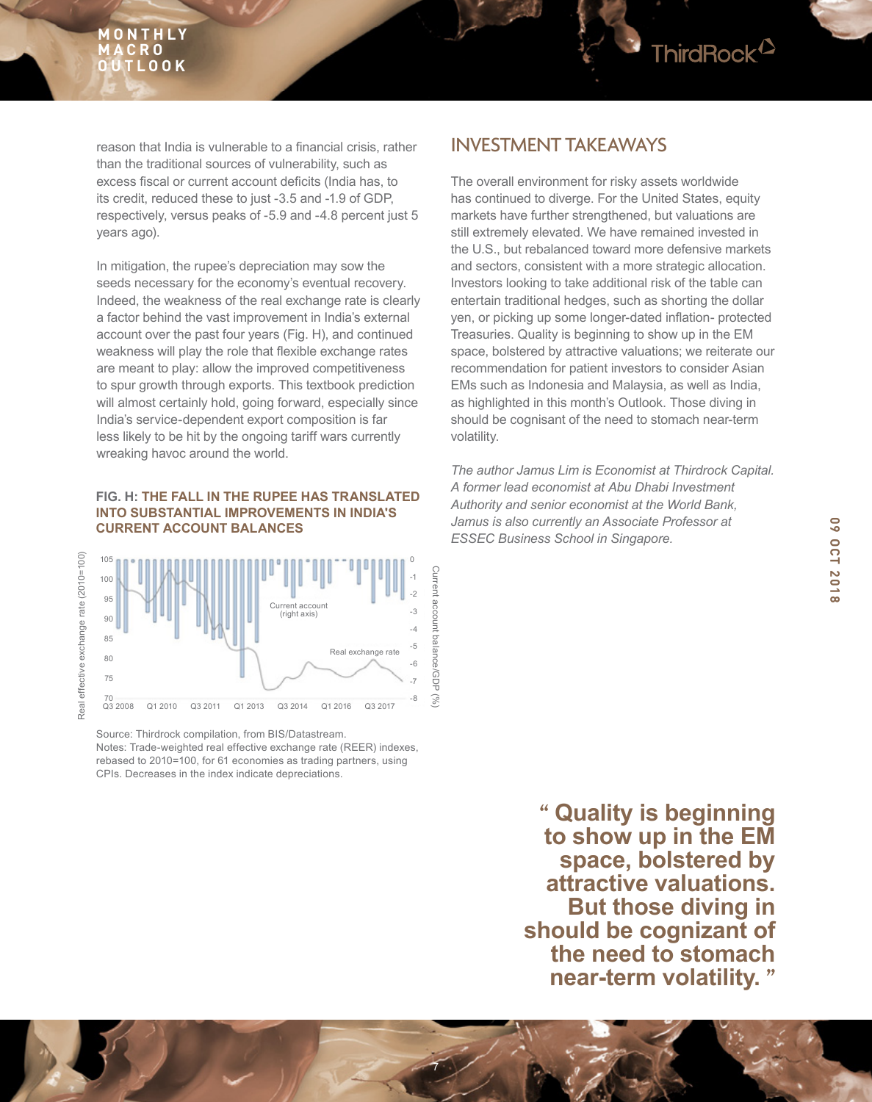

reason that India is vulnerable to a financial crisis, rather than the traditional sources of vulnerability, such as excess fiscal or current account deficits (India has, to its credit, reduced these to just -3.5 and -1.9 of GDP, respectively, versus peaks of -5.9 and -4.8 percent just 5 years ago).

In mitigation, the rupee's depreciation may sow the seeds necessary for the economy's eventual recovery. Indeed, the weakness of the real exchange rate is clearly a factor behind the vast improvement in India's external account over the past four years (Fig. H), and continued weakness will play the role that flexible exchange rates are meant to play: allow the improved competitiveness to spur growth through exports. This textbook prediction will almost certainly hold, going forward, especially since India's service-dependent export composition is far less likely to be hit by the ongoing tariff wars currently wreaking havoc around the world.

## **FIG. H: THE FALL IN THE RUPEE HAS TRANSLATED INTO SUBSTANTIAL IMPROVEMENTS IN INDIA'S CURRENT ACCOUNT BALANCES**



Source: Thirdrock compilation, from BIS/Datastream. Notes: Trade-weighted real effective exchange rate (REER) indexes, rebased to 2010=100, for 61 economies as trading partners, using CPIs. Decreases in the index indicate depreciations.

## INVESTMENT TAKEAWAYS

The overall environment for risky assets worldwide has continued to diverge. For the United States, equity markets have further strengthened, but valuations are still extremely elevated. We have remained invested in the U.S., but rebalanced toward more defensive markets and sectors, consistent with a more strategic allocation. Investors looking to take additional risk of the table can entertain traditional hedges, such as shorting the dollar yen, or picking up some longer-dated inflation- protected Treasuries. Quality is beginning to show up in the EM space, bolstered by attractive valuations; we reiterate our recommendation for patient investors to consider Asian EMs such as Indonesia and Malaysia, as well as India, as highlighted in this month's Outlook. Those diving in should be cognisant of the need to stomach near-term volatility.

*The author Jamus Lim is Economist at Thirdrock Capital. A former lead economist at Abu Dhabi Investment Authority and senior economist at the World Bank, Jamus is also currently an Associate Professor at ESSEC Business School in Singapore.*

> **" Quality is beginning to show up in the EM space, bolstered by attractive valuations. But those diving in should be cognizant of the need to stomach near-term volatility. "**